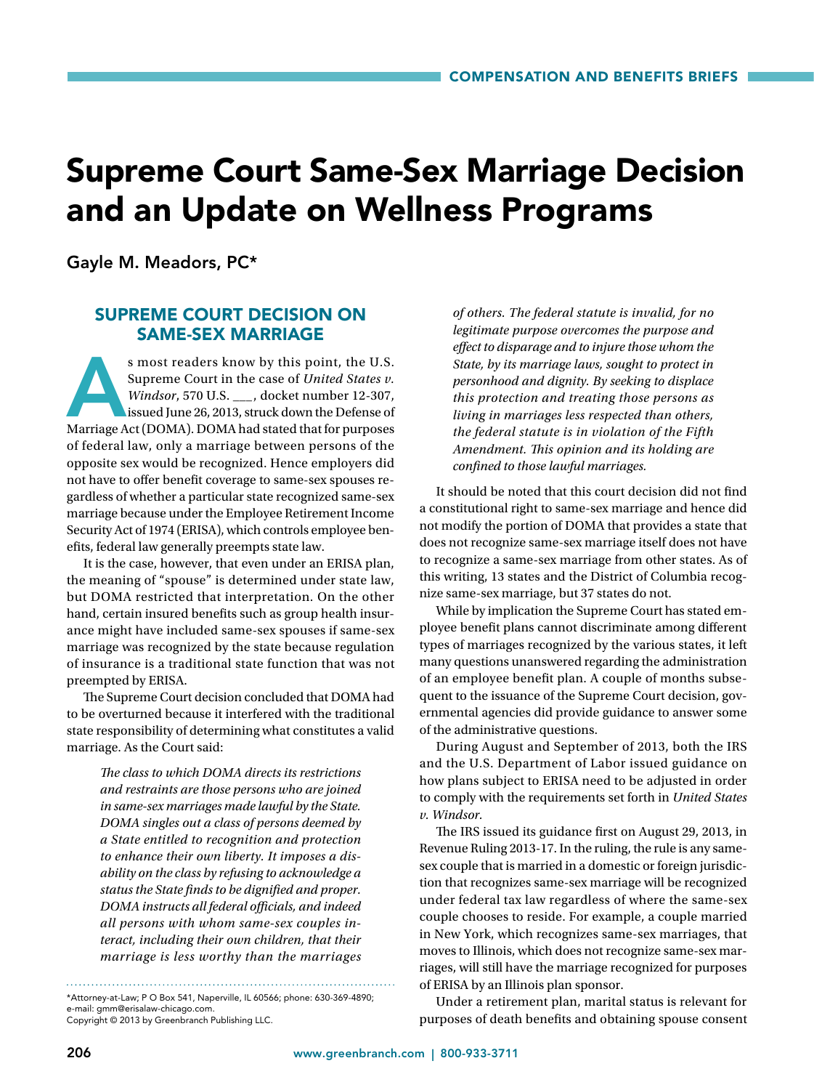## Supreme Court Same-Sex Marriage Decision and an Update on Wellness Programs

Gayle M. Meadors, PC\*

## SUPREME COURT DECISION ON SAME-SEX MARRIAGE

s most readers know by this point, the U.S.<br>
Supreme Court in the case of *United States v.*<br> *Windsor*, 570 U.S. \_\_, docket number 12-307,<br>
issued June 26, 2013, struck down the Defense of<br>
Marriage Act (DOMA). DOMA had s Supreme Court in the case of *United States v. Windsor*, 570 U.S. \_\_\_, docket number 12-307, issued June 26, 2013, struck down the Defense of of federal law, only a marriage between persons of the opposite sex would be recognized. Hence employers did not have to offer benefit coverage to same-sex spouses regardless of whether a particular state recognized same-sex marriage because under the Employee Retirement Income Security Act of 1974 (ERISA), which controls employee benefits, federal law generally preempts state law.

It is the case, however, that even under an ERISA plan, the meaning of "spouse" is determined under state law, but DOMA restricted that interpretation. On the other hand, certain insured benefits such as group health insurance might have included same-sex spouses if same-sex marriage was recognized by the state because regulation of insurance is a traditional state function that was not preempted by ERISA.

The Supreme Court decision concluded that DOMA had to be overturned because it interfered with the traditional state responsibility of determining what constitutes a valid marriage. As the Court said:

> *The class to which DOMA directs its restrictions and restraints are those persons who are joined in same-sex marriages made lawful by the State. DOMA singles out a class of persons deemed by a State entitled to recognition and protection to enhance their own liberty. It imposes a disability on the class by refusing to acknowledge a status the State finds to be dignified and proper. DOMA instructs all federal officials, and indeed all persons with whom same-sex couples interact, including their own children, that their marriage is less worthy than the marriages*

\*Attorney-at-Law; P O Box 541, Naperville, IL 60566; phone: 630-369-4890;

e-mail: gmm@erisalaw-chicago.com. Copyright © 2013 by Greenbranch Publishing LLC.

*of others. The federal statute is invalid, for no legitimate purpose overcomes the purpose and effect to disparage and to injure those whom the State, by its marriage laws, sought to protect in personhood and dignity. By seeking to displace this protection and treating those persons as living in marriages less respected than others, the federal statute is in violation of the Fifth Amendment. This opinion and its holding are confined to those lawful marriages.*

It should be noted that this court decision did not find a constitutional right to same-sex marriage and hence did not modify the portion of DOMA that provides a state that does not recognize same-sex marriage itself does not have to recognize a same-sex marriage from other states. As of this writing, 13 states and the District of Columbia recognize same-sex marriage, but 37 states do not.

While by implication the Supreme Court has stated employee benefit plans cannot discriminate among different types of marriages recognized by the various states, it left many questions unanswered regarding the administration of an employee benefit plan. A couple of months subsequent to the issuance of the Supreme Court decision, governmental agencies did provide guidance to answer some of the administrative questions.

During August and September of 2013, both the IRS and the U.S. Department of Labor issued guidance on how plans subject to ERISA need to be adjusted in order to comply with the requirements set forth in *United States v. Windsor.*

The IRS issued its guidance first on August 29, 2013, in Revenue Ruling 2013-17. In the ruling, the rule is any samesex couple that is married in a domestic or foreign jurisdiction that recognizes same-sex marriage will be recognized under federal tax law regardless of where the same-sex couple chooses to reside. For example, a couple married in New York, which recognizes same-sex marriages, that moves to Illinois, which does not recognize same-sex marriages, will still have the marriage recognized for purposes of ERISA by an Illinois plan sponsor.

Under a retirement plan, marital status is relevant for purposes of death benefits and obtaining spouse consent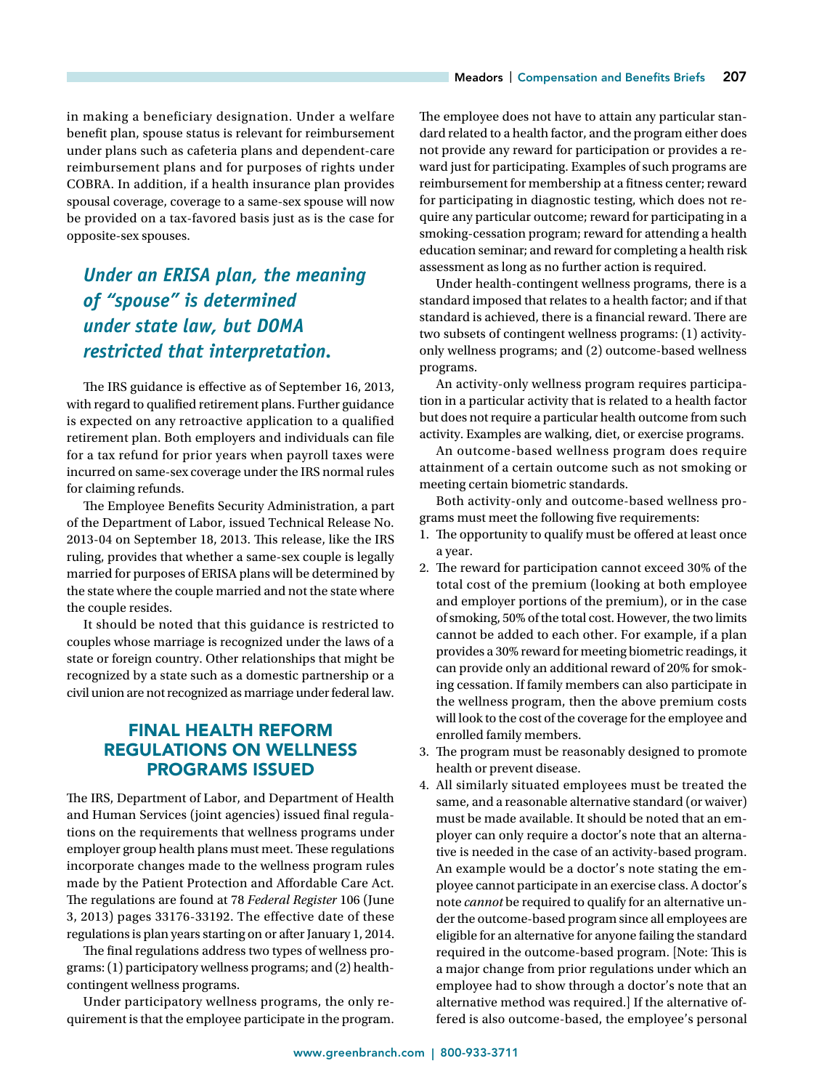in making a beneficiary designation. Under a welfare benefit plan, spouse status is relevant for reimbursement under plans such as cafeteria plans and dependent-care reimbursement plans and for purposes of rights under COBRA. In addition, if a health insurance plan provides spousal coverage, coverage to a same-sex spouse will now be provided on a tax-favored basis just as is the case for opposite-sex spouses.

## *Under an ERISA plan, the meaning of "spouse" is determined under state law, but DOMA restricted that interpretation.*

The IRS guidance is effective as of September 16, 2013, with regard to qualified retirement plans. Further guidance is expected on any retroactive application to a qualified retirement plan. Both employers and individuals can file for a tax refund for prior years when payroll taxes were incurred on same-sex coverage under the IRS normal rules for claiming refunds.

The Employee Benefits Security Administration, a part of the Department of Labor, issued Technical Release No. 2013-04 on September 18, 2013. This release, like the IRS ruling, provides that whether a same-sex couple is legally married for purposes of ERISA plans will be determined by the state where the couple married and not the state where the couple resides.

It should be noted that this guidance is restricted to couples whose marriage is recognized under the laws of a state or foreign country. Other relationships that might be recognized by a state such as a domestic partnership or a civil union are not recognized as marriage under federal law.

## FINAL HEALTH REFORM REGULATIONS ON WELLNESS PROGRAMS ISSUED

The IRS, Department of Labor, and Department of Health and Human Services (joint agencies) issued final regulations on the requirements that wellness programs under employer group health plans must meet. These regulations incorporate changes made to the wellness program rules made by the Patient Protection and Affordable Care Act. The regulations are found at 78 *Federal Register* 106 (June 3, 2013) pages 33176-33192. The effective date of these regulations is plan years starting on or after January 1, 2014.

The final regulations address two types of wellness programs: (1) participatory wellness programs; and (2) healthcontingent wellness programs.

Under participatory wellness programs, the only requirement is that the employee participate in the program. The employee does not have to attain any particular standard related to a health factor, and the program either does not provide any reward for participation or provides a reward just for participating. Examples of such programs are reimbursement for membership at a fitness center; reward for participating in diagnostic testing, which does not require any particular outcome; reward for participating in a smoking-cessation program; reward for attending a health education seminar; and reward for completing a health risk assessment as long as no further action is required.

Under health-contingent wellness programs, there is a standard imposed that relates to a health factor; and if that standard is achieved, there is a financial reward. There are two subsets of contingent wellness programs: (1) activityonly wellness programs; and (2) outcome-based wellness programs.

An activity-only wellness program requires participation in a particular activity that is related to a health factor but does not require a particular health outcome from such activity. Examples are walking, diet, or exercise programs.

An outcome-based wellness program does require attainment of a certain outcome such as not smoking or meeting certain biometric standards.

Both activity-only and outcome-based wellness programs must meet the following five requirements:

- 1. The opportunity to qualify must be offered at least once a year.
- 2. The reward for participation cannot exceed 30% of the total cost of the premium (looking at both employee and employer portions of the premium), or in the case of smoking, 50% of the total cost. However, the two limits cannot be added to each other. For example, if a plan provides a 30% reward for meeting biometric readings, it can provide only an additional reward of 20% for smoking cessation. If family members can also participate in the wellness program, then the above premium costs will look to the cost of the coverage for the employee and enrolled family members.

3. The program must be reasonably designed to promote health or prevent disease.

4. All similarly situated employees must be treated the same, and a reasonable alternative standard (or waiver) must be made available. It should be noted that an employer can only require a doctor's note that an alternative is needed in the case of an activity-based program. An example would be a doctor's note stating the employee cannot participate in an exercise class. A doctor's note *cannot* be required to qualify for an alternative under the outcome-based program since all employees are eligible for an alternative for anyone failing the standard required in the outcome-based program. [Note: This is a major change from prior regulations under which an employee had to show through a doctor's note that an alternative method was required.] If the alternative offered is also outcome-based, the employee's personal